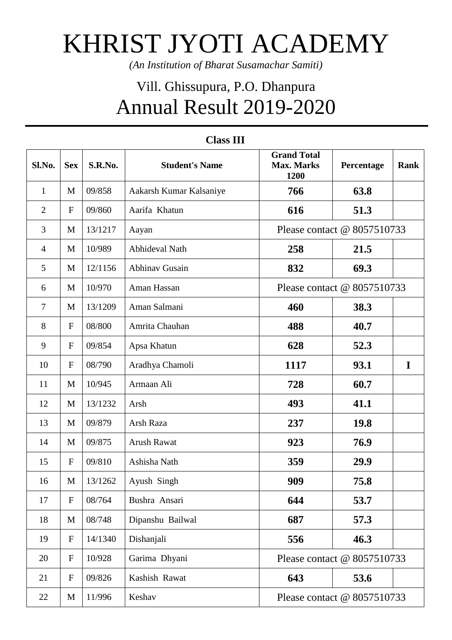## KHRIST JYOTI ACADEMY

*(An Institution of Bharat Susamachar Samiti)*

## Vill. Ghissupura, P.O. Dhanpura Annual Result 2019-2020

| Sl.No.         | <b>Sex</b>       | S.R.No. | <b>Student's Name</b>   | <b>Grand Total</b><br><b>Max. Marks</b><br>1200 | Percentage | <b>Rank</b> |
|----------------|------------------|---------|-------------------------|-------------------------------------------------|------------|-------------|
| $\mathbf{1}$   | M                | 09/858  | Aakarsh Kumar Kalsaniye | 766                                             | 63.8       |             |
| $\overline{2}$ | $\mathbf F$      | 09/860  | Aarifa Khatun           | 616                                             | 51.3       |             |
| 3              | M                | 13/1217 | Aayan                   | Please contact @ 8057510733                     |            |             |
| $\overline{4}$ | M                | 10/989  | <b>Abhideval Nath</b>   | 258                                             | 21.5       |             |
| 5              | M                | 12/1156 | Abhinav Gusain          | 832                                             | 69.3       |             |
| 6              | M                | 10/970  | Aman Hassan             | Please contact @ 8057510733                     |            |             |
| $\tau$         | M                | 13/1209 | Aman Salmani            | 460                                             | 38.3       |             |
| 8              | $\mathbf F$      | 08/800  | Amrita Chauhan          | 488                                             | 40.7       |             |
| 9              | ${\bf F}$        | 09/854  | Apsa Khatun             | 628                                             | 52.3       |             |
| 10             | ${\bf F}$        | 08/790  | Aradhya Chamoli         | 1117                                            | 93.1       | $\mathbf I$ |
| 11             | M                | 10/945  | Armaan Ali              | 728                                             | 60.7       |             |
| 12             | M                | 13/1232 | Arsh                    | 493                                             | 41.1       |             |
| 13             | M                | 09/879  | Arsh Raza               | 237                                             | 19.8       |             |
| 14             | M                | 09/875  | <b>Arush Rawat</b>      | 923                                             | 76.9       |             |
| 15             | $\mathbf F$      | 09/810  | Ashisha Nath            | 359                                             | 29.9       |             |
| 16             | M                | 13/1262 | Ayush Singh             | 909                                             | 75.8       |             |
| 17             | $\mathbf F$      | 08/764  | Bushra Ansari           | 644                                             | 53.7       |             |
| 18             | $\mathbf M$      | 08/748  | Dipanshu Bailwal        | 687                                             | 57.3       |             |
| 19             | $\boldsymbol{F}$ | 14/1340 | Dishanjali              | 556                                             | 46.3       |             |
| 20             | $\boldsymbol{F}$ | 10/928  | Garima Dhyani           | Please contact @ 8057510733                     |            |             |
| 21             | ${\bf F}$        | 09/826  | Kashish Rawat           | 643                                             | 53.6       |             |
| 22             | $\mathbf M$      | 11/996  | Keshav                  | Please contact @ 8057510733                     |            |             |

## **Class III**